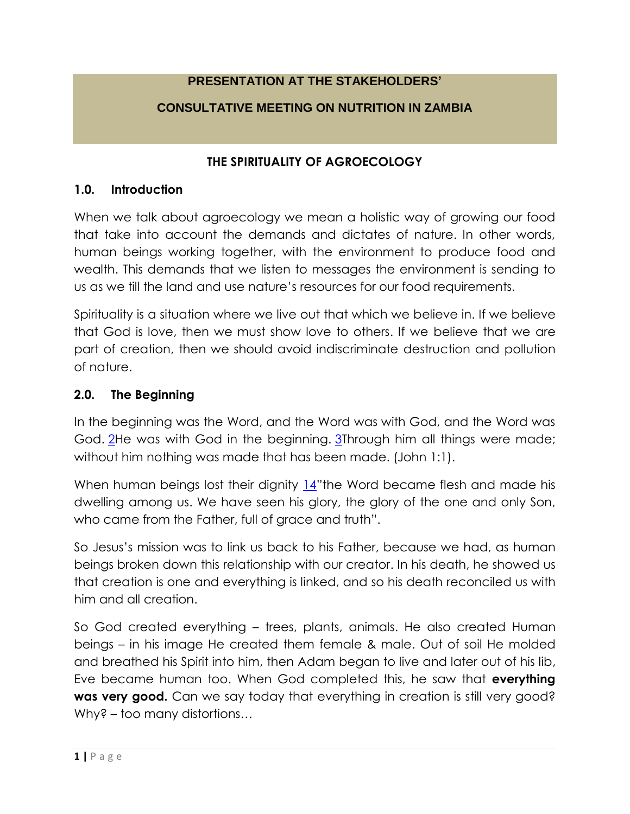# **PRESENTATION AT THE STAKEHOLDERS'**

# **CONSULTATIVE MEETING ON NUTRITION IN ZAMBIA**

### **THE SPIRITUALITY OF AGROECOLOGY**

#### **1.0. Introduction**

When we talk about agroecology we mean a holistic way of growing our food that take into account the demands and dictates of nature. In other words, human beings working together, with the environment to produce food and wealth. This demands that we listen to messages the environment is sending to us as we till the land and use nature's resources for our food requirements.

Spirituality is a situation where we live out that which we believe in. If we believe that God is love, then we must show love to others. If we believe that we are part of creation, then we should avoid indiscriminate destruction and pollution of nature.

### **2.0. The Beginning**

In the beginning was the Word, and the Word was with God, and the Word was God. [2H](http://biblehub.com/john/1-2.htm)e was with God in the beginning. [3T](http://biblehub.com/john/1-3.htm)hrough him all things were made; without him nothing was made that has been made. (John 1:1).

When human beings lost their dignity [14](http://biblehub.com/john/1-14.htm)"the Word became flesh and made his dwelling among us. We have seen his glory, the glory of the one and only Son, who came from the Father, full of grace and truth".

So Jesus's mission was to link us back to his Father, because we had, as human beings broken down this relationship with our creator. In his death, he showed us that creation is one and everything is linked, and so his death reconciled us with him and all creation.

So God created everything – trees, plants, animals. He also created Human beings – in his image He created them female & male. Out of soil He molded and breathed his Spirit into him, then Adam began to live and later out of his lib, Eve became human too. When God completed this, he saw that **everything was very good.** Can we say today that everything in creation is still very good? Why? – too many distortions…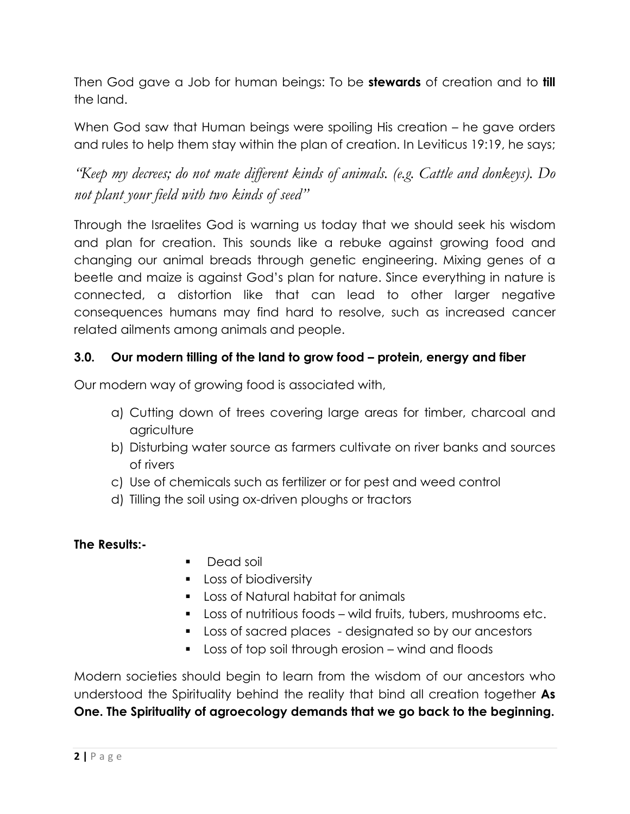Then God gave a Job for human beings: To be **stewards** of creation and to **till**  the land.

When God saw that Human beings were spoiling His creation – he gave orders and rules to help them stay within the plan of creation. In Leviticus 19:19, he says;

*"Keep my decrees; do not mate different kinds of animals. (e.g. Cattle and donkeys). Do not plant your field with two kinds of seed"*

Through the Israelites God is warning us today that we should seek his wisdom and plan for creation. This sounds like a rebuke against growing food and changing our animal breads through genetic engineering. Mixing genes of a beetle and maize is against God's plan for nature. Since everything in nature is connected, a distortion like that can lead to other larger negative consequences humans may find hard to resolve, such as increased cancer related ailments among animals and people.

# **3.0. Our modern tilling of the land to grow food – protein, energy and fiber**

Our modern way of growing food is associated with,

- a) Cutting down of trees covering large areas for timber, charcoal and agriculture
- b) Disturbing water source as farmers cultivate on river banks and sources of rivers
- c) Use of chemicals such as fertilizer or for pest and weed control
- d) Tilling the soil using ox-driven ploughs or tractors

### **The Results:-**

- Dead soil
- **Loss of biodiversity**
- **Loss of Natural habitat for animals**
- Loss of nutritious foods wild fruits, tubers, mushrooms etc.
- **Loss of sacred places** designated so by our ancestors
- Loss of top soil through erosion wind and floods

Modern societies should begin to learn from the wisdom of our ancestors who understood the Spirituality behind the reality that bind all creation together **As One. The Spirituality of agroecology demands that we go back to the beginning.**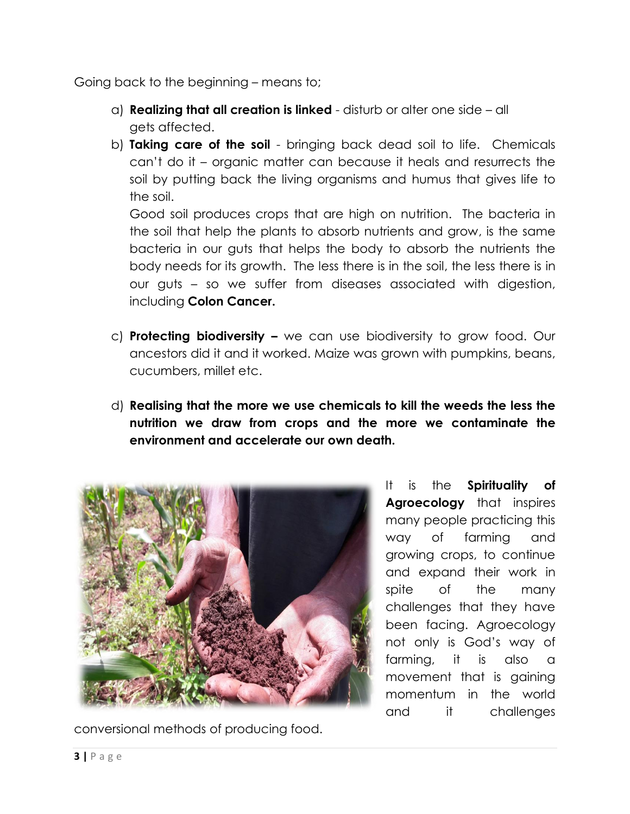Going back to the beginning – means to;

- a) **Realizing that all creation is linked** disturb or alter one side all gets affected.
- b) **Taking care of the soil** bringing back dead soil to life. Chemicals can't do it – organic matter can because it heals and resurrects the soil by putting back the living organisms and humus that gives life to the soil.

Good soil produces crops that are high on nutrition. The bacteria in the soil that help the plants to absorb nutrients and grow, is the same bacteria in our guts that helps the body to absorb the nutrients the body needs for its growth. The less there is in the soil, the less there is in our guts – so we suffer from diseases associated with digestion, including **Colon Cancer.**

- c) **Protecting biodiversity –** we can use biodiversity to grow food. Our ancestors did it and it worked. Maize was grown with pumpkins, beans, cucumbers, millet etc.
- d) **Realising that the more we use chemicals to kill the weeds the less the nutrition we draw from crops and the more we contaminate the environment and accelerate our own death.**



conversional methods of producing food.

It is the **Spirituality of Agroecology** that inspires many people practicing this way of farming and growing crops, to continue and expand their work in spite of the many challenges that they have been facing. Agroecology not only is God's way of farming, it is also a movement that is gaining momentum in the world and it challenges